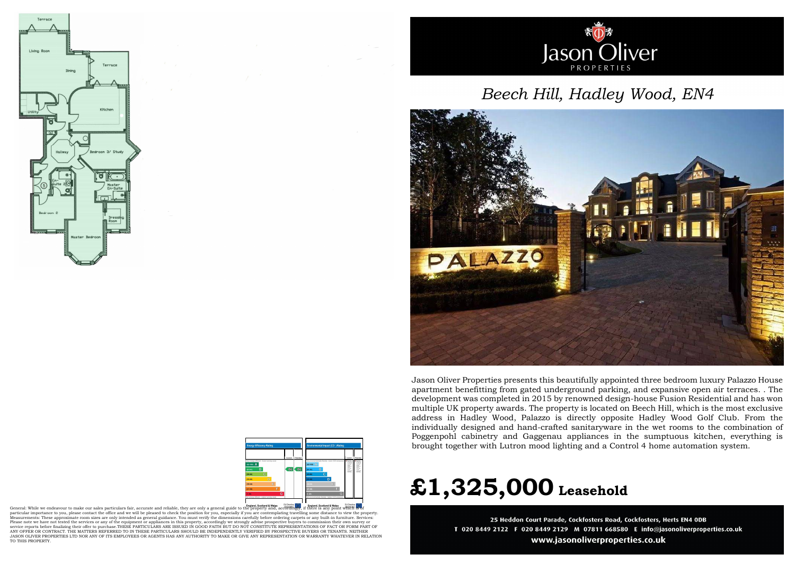



England, Scotland & Wales<br>General: While we endeavour to make our sales particulars fair, accurate and reliable, they are only a general guide to the property and, accordingly, it and is any point which is of any point whi particular importance to you, please contact the office and we will be pleased to check the position for you, especially if you are contemplating travelling some distance to view the property.<br>Measurements: These approxima Please note we have not tested the services or any of the equipment or appliances in this property, accordingly we strongly advise prospective buyers to commission their own survey or service reports before finalizing their offer to purchase.THESE PARTICULARS ARE ISSUED IN GOOD FAITH BUT DO NOT CONSTITUTE REPRESENTATIONS OF FACT OR FORM PART OF<br>ANY OFFER OR CONTRACT. THE MATTERS REFERRED TO IN THESE PAR JASON OLIVER PROPERTIES LTD NOR ANY OF ITS EMPLOYEES OR AGENTS HAS ANY AUTHORITY TO MAKE OR GIVE ANY REPRESENTATION OR WARRANTY WHATEVER IN RELATION TO THIS PROPERTY.



## *Beech Hill, Hadley Wood, EN4*



## **£1,325,000 Leasehold**

25 Heddon Court Parade, Cockfosters Road, Cockfosters, Herts EN4 ODB T 020 8449 2122 F 020 8449 2129 M 07811 668580 E info@jasonoliverproperties.co.uk www.jasonoliverproperties.co.uk

Jason Oliver Properties presents this beautifully appointed three bedroom luxury Palazzo House apartment benefitting from gated underground parking, and expansive open air terraces. . The development was completed in 2015 by renowned design-house Fusion Residential and has won multiple UK property awards. The property is located on Beech Hill, which is the most exclusive address in Hadley Wood, Palazzo is directly opposite Hadley Wood Golf Club. From the individually designed and hand-crafted sanitaryware in the wet rooms to the combination of Poggenpohl cabinetry and Gaggenau appliances in the sumptuous kitchen, everything is brought together with Lutron mood lighting and a Control 4 home automation system.